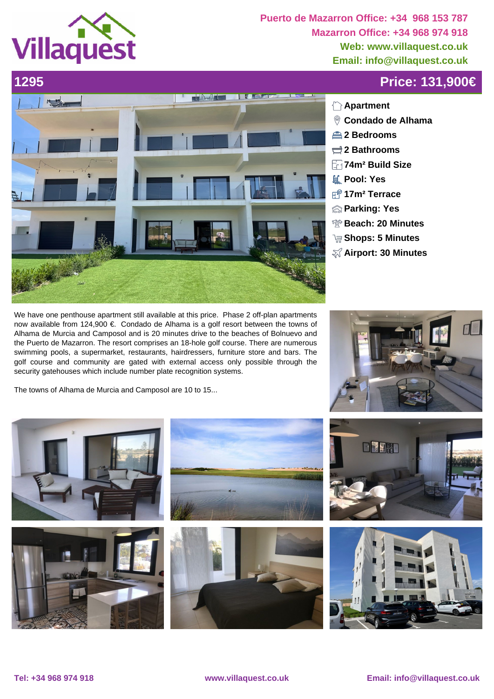

**Puerto de Mazarron Office: +34 968 153 787 Mazarron Office: +34 968 974 918 Web: www.villaquest.co.uk Email: info@villaquest.co.uk**

## **1295 Price: 131,900€**



## **Apartment**

- **Condado de Alhama**
- **2 Bedrooms**
- **2 Bathrooms**
- **74m² Build Size**
- **Pool: Yes**
- **17m² Terrace**
- **Parking: Yes**
- **Beach: 20 Minutes**
- **Shops: 5 Minutes**
- **Airport: 30 Minutes**

We have one penthouse apartment still available at this price. Phase 2 off-plan apartments now available from 124,900 €. Condado de Alhama is a golf resort between the towns of Alhama de Murcia and Camposol and is 20 minutes drive to the beaches of Bolnuevo and the Puerto de Mazarron. The resort comprises an 18-hole golf course. There are numerous swimming pools, a supermarket, restaurants, hairdressers, furniture store and bars. The golf course and community are gated with external access only possible through the security gatehouses which include number plate recognition systems.

 The towns of Alhama de Murcia and Camposol are 10 to 15...